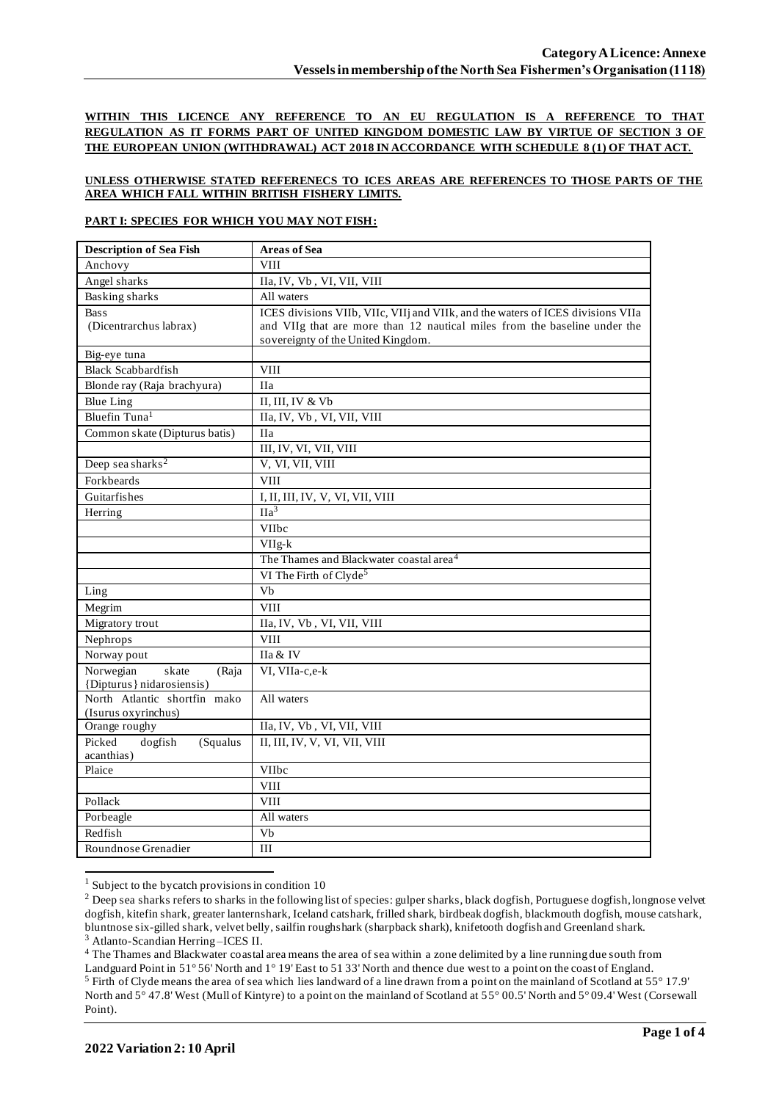**WITHIN THIS LICENCE ANY REFERENCE TO AN EU REGULATION IS A REFERENCE TO THAT REGULATION AS IT FORMS PART OF UNITED KINGDOM DOMESTIC LAW BY VIRTUE OF SECTION 3 OF THE EUROPEAN UNION (WITHDRAWAL) ACT 2018 IN ACCORDANCE WITH SCHEDULE 8 (1) OF THAT ACT.**

## **UNLESS OTHERWISE STATED REFERENECS TO ICES AREAS ARE REFERENCES TO THOSE PARTS OF THE AREA WHICH FALL WITHIN BRITISH FISHERY LIMITS.**

### **PART I: SPECIES FOR WHICH YOU MAY NOT FISH:**

| Anchovy<br><b>VIII</b><br>Angel sharks<br>IIa, IV, Vb, VI, VII, VIII<br><b>Basking sharks</b><br>All waters<br>ICES divisions VIIb, VIIc, VIIj and VIIk, and the waters of ICES divisions VIIa<br><b>Bass</b><br>(Dicentrarchus labrax)<br>and VIIg that are more than 12 nautical miles from the baseline under the<br>sovereignty of the United Kingdom.<br>Big-eye tuna<br><b>Black Scabbardfish</b><br>VIII<br>Blonde ray (Raja brachyura)<br><b>IIa</b><br>II, III, IV & Vb<br><b>Blue Ling</b><br>Bluefin Tuna <sup>1</sup><br>IIa, IV, Vb, VI, VII, VIII<br>Common skate (Dipturus batis)<br><b>IIa</b><br>III, IV, VI, VII, VIII<br>Deep sea sharks <sup>2</sup><br>V, VI, VII, VIII<br>Forkbeards<br><b>VIII</b><br>Guitarfishes<br>I, II, III, IV, V, VI, VII, VIII<br>IIa <sup>3</sup><br>Herring<br>VIIbc<br>$VIIg-k$<br>The Thames and Blackwater coastal area <sup>4</sup><br>VI The Firth of Clyde <sup>5</sup><br>Vb<br>Ling<br>Megrim<br><b>VIII</b><br>Migratory trout<br>IIa, IV, Vb, VI, VII, VIII<br>Nephrops<br><b>VIII</b><br>Norway pout<br>IIa & IV<br>Norwegian<br>skate<br>VI, VIIa-c,e-k<br>(Raja<br>{Dipturus} nidarosiensis}<br>North Atlantic shortfin mako<br>All waters<br>(Isurus oxyrinchus)<br>IIa, IV, Vb, VI, VII, VIII<br>Orange roughy<br>II, III, IV, V, VI, VII, VIII<br>Picked<br>dogfish<br>(Squalus<br>acanthias)<br>Plaice<br>VIIbc<br><b>VIII</b><br>Pollack<br><b>VIII</b><br>Porbeagle<br>All waters | <b>Description of Sea Fish</b> | <b>Areas of Sea</b> |
|-------------------------------------------------------------------------------------------------------------------------------------------------------------------------------------------------------------------------------------------------------------------------------------------------------------------------------------------------------------------------------------------------------------------------------------------------------------------------------------------------------------------------------------------------------------------------------------------------------------------------------------------------------------------------------------------------------------------------------------------------------------------------------------------------------------------------------------------------------------------------------------------------------------------------------------------------------------------------------------------------------------------------------------------------------------------------------------------------------------------------------------------------------------------------------------------------------------------------------------------------------------------------------------------------------------------------------------------------------------------------------------------------------------------------------------------------------|--------------------------------|---------------------|
|                                                                                                                                                                                                                                                                                                                                                                                                                                                                                                                                                                                                                                                                                                                                                                                                                                                                                                                                                                                                                                                                                                                                                                                                                                                                                                                                                                                                                                                       |                                |                     |
|                                                                                                                                                                                                                                                                                                                                                                                                                                                                                                                                                                                                                                                                                                                                                                                                                                                                                                                                                                                                                                                                                                                                                                                                                                                                                                                                                                                                                                                       |                                |                     |
|                                                                                                                                                                                                                                                                                                                                                                                                                                                                                                                                                                                                                                                                                                                                                                                                                                                                                                                                                                                                                                                                                                                                                                                                                                                                                                                                                                                                                                                       |                                |                     |
|                                                                                                                                                                                                                                                                                                                                                                                                                                                                                                                                                                                                                                                                                                                                                                                                                                                                                                                                                                                                                                                                                                                                                                                                                                                                                                                                                                                                                                                       |                                |                     |
|                                                                                                                                                                                                                                                                                                                                                                                                                                                                                                                                                                                                                                                                                                                                                                                                                                                                                                                                                                                                                                                                                                                                                                                                                                                                                                                                                                                                                                                       |                                |                     |
|                                                                                                                                                                                                                                                                                                                                                                                                                                                                                                                                                                                                                                                                                                                                                                                                                                                                                                                                                                                                                                                                                                                                                                                                                                                                                                                                                                                                                                                       |                                |                     |
|                                                                                                                                                                                                                                                                                                                                                                                                                                                                                                                                                                                                                                                                                                                                                                                                                                                                                                                                                                                                                                                                                                                                                                                                                                                                                                                                                                                                                                                       |                                |                     |
|                                                                                                                                                                                                                                                                                                                                                                                                                                                                                                                                                                                                                                                                                                                                                                                                                                                                                                                                                                                                                                                                                                                                                                                                                                                                                                                                                                                                                                                       |                                |                     |
|                                                                                                                                                                                                                                                                                                                                                                                                                                                                                                                                                                                                                                                                                                                                                                                                                                                                                                                                                                                                                                                                                                                                                                                                                                                                                                                                                                                                                                                       |                                |                     |
|                                                                                                                                                                                                                                                                                                                                                                                                                                                                                                                                                                                                                                                                                                                                                                                                                                                                                                                                                                                                                                                                                                                                                                                                                                                                                                                                                                                                                                                       |                                |                     |
|                                                                                                                                                                                                                                                                                                                                                                                                                                                                                                                                                                                                                                                                                                                                                                                                                                                                                                                                                                                                                                                                                                                                                                                                                                                                                                                                                                                                                                                       |                                |                     |
|                                                                                                                                                                                                                                                                                                                                                                                                                                                                                                                                                                                                                                                                                                                                                                                                                                                                                                                                                                                                                                                                                                                                                                                                                                                                                                                                                                                                                                                       |                                |                     |
|                                                                                                                                                                                                                                                                                                                                                                                                                                                                                                                                                                                                                                                                                                                                                                                                                                                                                                                                                                                                                                                                                                                                                                                                                                                                                                                                                                                                                                                       |                                |                     |
|                                                                                                                                                                                                                                                                                                                                                                                                                                                                                                                                                                                                                                                                                                                                                                                                                                                                                                                                                                                                                                                                                                                                                                                                                                                                                                                                                                                                                                                       |                                |                     |
|                                                                                                                                                                                                                                                                                                                                                                                                                                                                                                                                                                                                                                                                                                                                                                                                                                                                                                                                                                                                                                                                                                                                                                                                                                                                                                                                                                                                                                                       |                                |                     |
|                                                                                                                                                                                                                                                                                                                                                                                                                                                                                                                                                                                                                                                                                                                                                                                                                                                                                                                                                                                                                                                                                                                                                                                                                                                                                                                                                                                                                                                       |                                |                     |
|                                                                                                                                                                                                                                                                                                                                                                                                                                                                                                                                                                                                                                                                                                                                                                                                                                                                                                                                                                                                                                                                                                                                                                                                                                                                                                                                                                                                                                                       |                                |                     |
|                                                                                                                                                                                                                                                                                                                                                                                                                                                                                                                                                                                                                                                                                                                                                                                                                                                                                                                                                                                                                                                                                                                                                                                                                                                                                                                                                                                                                                                       |                                |                     |
|                                                                                                                                                                                                                                                                                                                                                                                                                                                                                                                                                                                                                                                                                                                                                                                                                                                                                                                                                                                                                                                                                                                                                                                                                                                                                                                                                                                                                                                       |                                |                     |
|                                                                                                                                                                                                                                                                                                                                                                                                                                                                                                                                                                                                                                                                                                                                                                                                                                                                                                                                                                                                                                                                                                                                                                                                                                                                                                                                                                                                                                                       |                                |                     |
|                                                                                                                                                                                                                                                                                                                                                                                                                                                                                                                                                                                                                                                                                                                                                                                                                                                                                                                                                                                                                                                                                                                                                                                                                                                                                                                                                                                                                                                       |                                |                     |
|                                                                                                                                                                                                                                                                                                                                                                                                                                                                                                                                                                                                                                                                                                                                                                                                                                                                                                                                                                                                                                                                                                                                                                                                                                                                                                                                                                                                                                                       |                                |                     |
|                                                                                                                                                                                                                                                                                                                                                                                                                                                                                                                                                                                                                                                                                                                                                                                                                                                                                                                                                                                                                                                                                                                                                                                                                                                                                                                                                                                                                                                       |                                |                     |
|                                                                                                                                                                                                                                                                                                                                                                                                                                                                                                                                                                                                                                                                                                                                                                                                                                                                                                                                                                                                                                                                                                                                                                                                                                                                                                                                                                                                                                                       |                                |                     |
|                                                                                                                                                                                                                                                                                                                                                                                                                                                                                                                                                                                                                                                                                                                                                                                                                                                                                                                                                                                                                                                                                                                                                                                                                                                                                                                                                                                                                                                       |                                |                     |
|                                                                                                                                                                                                                                                                                                                                                                                                                                                                                                                                                                                                                                                                                                                                                                                                                                                                                                                                                                                                                                                                                                                                                                                                                                                                                                                                                                                                                                                       |                                |                     |
|                                                                                                                                                                                                                                                                                                                                                                                                                                                                                                                                                                                                                                                                                                                                                                                                                                                                                                                                                                                                                                                                                                                                                                                                                                                                                                                                                                                                                                                       |                                |                     |
|                                                                                                                                                                                                                                                                                                                                                                                                                                                                                                                                                                                                                                                                                                                                                                                                                                                                                                                                                                                                                                                                                                                                                                                                                                                                                                                                                                                                                                                       |                                |                     |
|                                                                                                                                                                                                                                                                                                                                                                                                                                                                                                                                                                                                                                                                                                                                                                                                                                                                                                                                                                                                                                                                                                                                                                                                                                                                                                                                                                                                                                                       |                                |                     |
|                                                                                                                                                                                                                                                                                                                                                                                                                                                                                                                                                                                                                                                                                                                                                                                                                                                                                                                                                                                                                                                                                                                                                                                                                                                                                                                                                                                                                                                       |                                |                     |
|                                                                                                                                                                                                                                                                                                                                                                                                                                                                                                                                                                                                                                                                                                                                                                                                                                                                                                                                                                                                                                                                                                                                                                                                                                                                                                                                                                                                                                                       |                                |                     |
|                                                                                                                                                                                                                                                                                                                                                                                                                                                                                                                                                                                                                                                                                                                                                                                                                                                                                                                                                                                                                                                                                                                                                                                                                                                                                                                                                                                                                                                       |                                |                     |
|                                                                                                                                                                                                                                                                                                                                                                                                                                                                                                                                                                                                                                                                                                                                                                                                                                                                                                                                                                                                                                                                                                                                                                                                                                                                                                                                                                                                                                                       |                                |                     |
|                                                                                                                                                                                                                                                                                                                                                                                                                                                                                                                                                                                                                                                                                                                                                                                                                                                                                                                                                                                                                                                                                                                                                                                                                                                                                                                                                                                                                                                       |                                |                     |
|                                                                                                                                                                                                                                                                                                                                                                                                                                                                                                                                                                                                                                                                                                                                                                                                                                                                                                                                                                                                                                                                                                                                                                                                                                                                                                                                                                                                                                                       |                                |                     |
|                                                                                                                                                                                                                                                                                                                                                                                                                                                                                                                                                                                                                                                                                                                                                                                                                                                                                                                                                                                                                                                                                                                                                                                                                                                                                                                                                                                                                                                       |                                |                     |
| Redfish<br>Vb                                                                                                                                                                                                                                                                                                                                                                                                                                                                                                                                                                                                                                                                                                                                                                                                                                                                                                                                                                                                                                                                                                                                                                                                                                                                                                                                                                                                                                         |                                |                     |
| Roundnose Grenadier<br>III                                                                                                                                                                                                                                                                                                                                                                                                                                                                                                                                                                                                                                                                                                                                                                                                                                                                                                                                                                                                                                                                                                                                                                                                                                                                                                                                                                                                                            |                                |                     |

 $1$  Subject to the bycatch provisions in condition 10

<sup>4</sup> The Thames and Blackwater coastal area means the area of sea within a zone delimited by a line running due south from

<sup>&</sup>lt;sup>2</sup> Deep sea sharks refers to sharks in the following list of species: gulper sharks, black dogfish, Portuguese dogfish, longnose velvet dogfish, kitefin shark, greater lanternshark, Iceland catshark, frilled shark, birdbeak dogfish, blackmouth dogfish, mouse catshark, bluntnose six-gilled shark, velvet belly, sailfin roughshark (sharpback shark), knifetooth dogfish and Greenland shark. <sup>3</sup> Atlanto-Scandian Herring –ICES II.

Landguard Point in 51° 56' North and 1° 19' East to 51 33' North and thence due west to a point on the coast of England. <sup>5</sup> Firth of Clyde means the area of sea which lies landward of a line drawn from a point on the mainland of Scotland at 55° 17.9' North and 5° 47.8' West (Mull of Kintyre) to a point on the mainland of Scotland at 55° 00.5' North and 5° 09.4' West (Corsewall Point).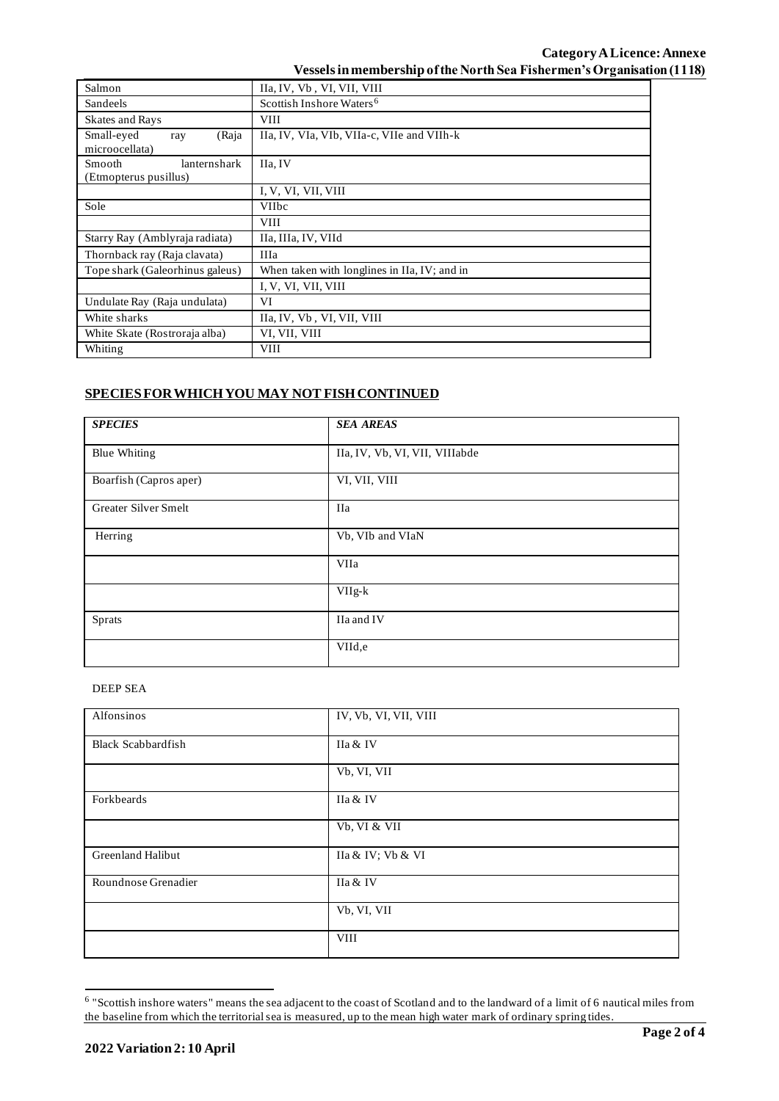| Salmon                                                 | IIa, IV, Vb, VI, VII, VIII                   |  |  |
|--------------------------------------------------------|----------------------------------------------|--|--|
| Sandeels                                               | Scottish Inshore Waters <sup>6</sup>         |  |  |
| <b>Skates and Rays</b>                                 | <b>VIII</b>                                  |  |  |
| Small-eyed<br>(Raja<br>ray<br>microocellata)           | IIa, IV, VIa, VIb, VIIa-c, VIIe and VIIh-k   |  |  |
| <b>Smooth</b><br>lanternshark<br>(Etmopterus pusillus) | IIa. IV                                      |  |  |
|                                                        | I, V, VI, VII, VIII                          |  |  |
| Sole                                                   | <b>VIIbc</b>                                 |  |  |
|                                                        | <b>VIII</b>                                  |  |  |
| Starry Ray (Amblyraja radiata)                         | IIa, IIIa, IV, VIId                          |  |  |
| Thornback ray (Raja clavata)                           | <b>IIIa</b>                                  |  |  |
| Tope shark (Galeorhinus galeus)                        | When taken with longlines in IIa, IV; and in |  |  |
|                                                        | I, V, VI, VII, VIII                          |  |  |
| Undulate Ray (Raja undulata)                           | VI                                           |  |  |
| White sharks                                           | IIa, IV, Vb, VI, VII, VIII                   |  |  |
| White Skate (Rostroraja alba)                          | VI, VII, VIII                                |  |  |
| Whiting                                                | <b>VIII</b>                                  |  |  |

# **SPECIES FOR WHICH YOU MAY NOT FISH CONTINUED**

| <b>SPECIES</b>         | <b>SEA AREAS</b>               |
|------------------------|--------------------------------|
| <b>Blue Whiting</b>    | IIa, IV, Vb, VI, VII, VIIIabde |
| Boarfish (Capros aper) | VI, VII, VIII                  |
| Greater Silver Smelt   | <b>IIa</b>                     |
| Herring                | Vb, VIb and VIaN               |
|                        | VIIa                           |
|                        | $VIIg-k$                       |
| Sprats                 | IIa and IV                     |
|                        | VIId,e                         |

## DEEP SEA

| Alfonsinos                | IV, Vb, VI, VII, VIII |
|---------------------------|-----------------------|
| <b>Black Scabbardfish</b> | IIa & IV              |
|                           | Vb, VI, VII           |
| Forkbeards                | IIa & IV              |
|                           | Vb, VI & VII          |
| Greenland Halibut         | IIa & IV; Vb & VI     |
| Roundnose Grenadier       | IIa & IV              |
|                           | Vb, VI, VII           |
|                           | <b>VIII</b>           |

<sup>&</sup>lt;sup>6</sup> "Scottish inshore waters" means the sea adjacent to the coast of Scotland and to the landward of a limit of 6 nautical miles from the baseline from which the territorial sea is measured, up to the mean high water mark of ordinary spring tides.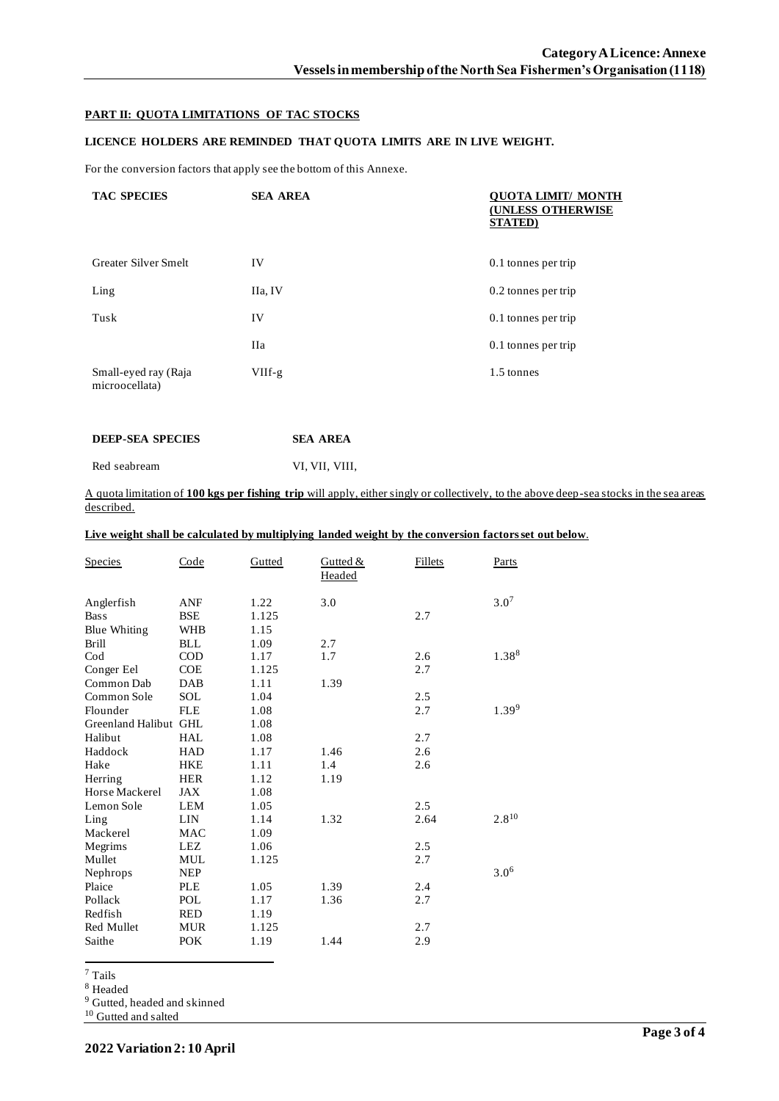## **PART II: QUOTA LIMITATIONS OF TAC STOCKS**

## **LICENCE HOLDERS ARE REMINDED THAT QUOTA LIMITS ARE IN LIVE WEIGHT.**

For the conversion factors that apply see the bottom of this Annexe.

| <b>TAC SPECIES</b>                     | <b>SEA AREA</b> | <b>QUOTA LIMIT/ MONTH</b><br><b>(UNLESS OTHERWISE</b><br><b>STATED</b> ) |
|----------------------------------------|-----------------|--------------------------------------------------------------------------|
| <b>Greater Silver Smelt</b>            | IV              | 0.1 tonnes per trip                                                      |
| Ling                                   | IIa, IV         | 0.2 tonnes per trip                                                      |
| Tusk                                   | IV              | 0.1 tonnes per trip                                                      |
|                                        | <b>IIa</b>      | 0.1 tonnes per trip                                                      |
| Small-eyed ray (Raja<br>microocellata) | $VIIf-g$        | 1.5 tonnes                                                               |

| <b>DEEP-SEA SPECIES</b> | <b>SEA AREA</b> |
|-------------------------|-----------------|
|                         |                 |

Red seabream VI, VII, VIII, VIII,

A quota limitation of **100 kgs per fishing trip** will apply, either singly or collectively, to the above deep-sea stocks in the sea areas described.

**Live weight shall be calculated by multiplying landed weight by the conversion factors set out below**.

| <b>Species</b>        | Code       | Gutted | Gutted $&$<br><b>Headed</b> | <b>Fillets</b> | <b>Parts</b> |
|-----------------------|------------|--------|-----------------------------|----------------|--------------|
| Anglerfish            | <b>ANF</b> | 1.22   | 3.0                         |                | $3.0^{7}$    |
| <b>Bass</b>           | <b>BSE</b> | 1.125  |                             | 2.7            |              |
| <b>Blue Whiting</b>   | <b>WHB</b> | 1.15   |                             |                |              |
| <b>Brill</b>          | <b>BLL</b> | 1.09   | 2.7                         |                |              |
| $\mathrm{Cod}$        | <b>COD</b> | 1.17   | 1.7                         | 2.6            | 1.388        |
| Conger Eel            | <b>COE</b> | 1.125  |                             | 2.7            |              |
| Common Dab            | <b>DAB</b> | 1.11   | 1.39                        |                |              |
| Common Sole           | <b>SOL</b> | 1.04   |                             | 2.5            |              |
| Flounder              | <b>FLE</b> | 1.08   |                             | 2.7            | $1.39^{9}$   |
| Greenland Halibut GHL |            | 1.08   |                             |                |              |
| Halibut               | <b>HAL</b> | 1.08   |                             | 2.7            |              |
| Haddock               | <b>HAD</b> | 1.17   | 1.46                        | 2.6            |              |
| Hake                  | <b>HKE</b> | 1.11   | 1.4                         | 2.6            |              |
| Herring               | <b>HER</b> | 1.12   | 1.19                        |                |              |
| Horse Mackerel        | JAX        | 1.08   |                             |                |              |
| Lemon Sole            | <b>LEM</b> | 1.05   |                             | 2.5            |              |
| Ling                  | <b>LIN</b> | 1.14   | 1.32                        | 2.64           | $2.8^{10}$   |
| Mackerel              | <b>MAC</b> | 1.09   |                             |                |              |
| Megrims               | <b>LEZ</b> | 1.06   |                             | 2.5            |              |
| Mullet                | <b>MUL</b> | 1.125  |                             | 2.7            |              |
| Nephrops              | <b>NEP</b> |        |                             |                | $3.0^{6}$    |
| Plaice                | <b>PLE</b> | 1.05   | 1.39                        | 2.4            |              |
| Pollack               | <b>POL</b> | 1.17   | 1.36                        | 2.7            |              |
| Redfish               | <b>RED</b> | 1.19   |                             |                |              |
| Red Mullet            | <b>MUR</b> | 1.125  |                             | 2.7            |              |
| Saithe                | <b>POK</b> | 1.19   | 1.44                        | 2.9            |              |

<sup>7</sup> Tails

<sup>8</sup> Headed

<sup>9</sup> Gutted, headed and skinned

<sup>10</sup> Gutted and salted